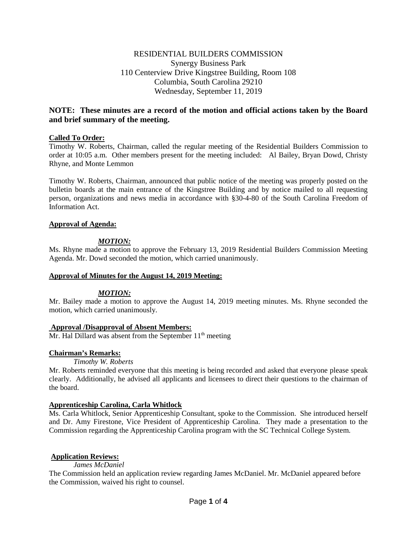# RESIDENTIAL BUILDERS COMMISSION Synergy Business Park 110 Centerview Drive Kingstree Building, Room 108 Columbia, South Carolina 29210 Wednesday, September 11, 2019

# **NOTE: These minutes are a record of the motion and official actions taken by the Board and brief summary of the meeting.**

## **Called To Order:**

Timothy W. Roberts, Chairman, called the regular meeting of the Residential Builders Commission to order at 10:05 a.m. Other members present for the meeting included: Al Bailey, Bryan Dowd, Christy Rhyne, and Monte Lemmon

Timothy W. Roberts, Chairman, announced that public notice of the meeting was properly posted on the bulletin boards at the main entrance of the Kingstree Building and by notice mailed to all requesting person, organizations and news media in accordance with §30-4-80 of the South Carolina Freedom of Information Act.

## **Approval of Agenda:**

# *MOTION:*

Ms. Rhyne made a motion to approve the February 13, 2019 Residential Builders Commission Meeting Agenda. Mr. Dowd seconded the motion, which carried unanimously.

## **Approval of Minutes for the August 14, 2019 Meeting:**

## *MOTION:*

Mr. Bailey made a motion to approve the August 14, 2019 meeting minutes. Ms. Rhyne seconded the motion, which carried unanimously.

## **Approval /Disapproval of Absent Members:**

 $Mr.$  Hal Dillard was absent from the September  $11<sup>th</sup>$  meeting

## **Chairman's Remarks:**

*Timothy W. Roberts*

Mr. Roberts reminded everyone that this meeting is being recorded and asked that everyone please speak clearly. Additionally, he advised all applicants and licensees to direct their questions to the chairman of the board.

# **Apprenticeship Carolina, Carla Whitlock**

Ms. Carla Whitlock, Senior Apprenticeship Consultant, spoke to the Commission. She introduced herself and Dr. Amy Firestone, Vice President of Apprenticeship Carolina. They made a presentation to the Commission regarding the Apprenticeship Carolina program with the SC Technical College System.

## **Application Reviews:**

*James McDaniel*

The Commission held an application review regarding James McDaniel. Mr. McDaniel appeared before the Commission, waived his right to counsel.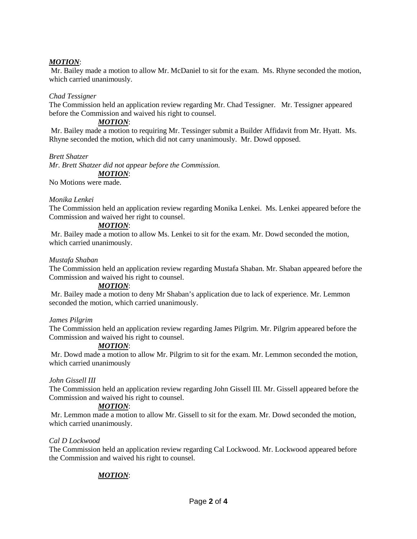# *MOTION*:

Mr. Bailey made a motion to allow Mr. McDaniel to sit for the exam. Ms. Rhyne seconded the motion, which carried unanimously.

### *Chad Tessigner*

The Commission held an application review regarding Mr. Chad Tessigner. Mr. Tessigner appeared before the Commission and waived his right to counsel.

### *MOTION*:

Mr. Bailey made a motion to requiring Mr. Tessinger submit a Builder Affidavit from Mr. Hyatt. Ms. Rhyne seconded the motion, which did not carry unanimously. Mr. Dowd opposed.

#### *Brett Shatzer*

*Mr. Brett Shatzer did not appear before the Commission. MOTION*:

No Motions were made.

### *Monika Lenkei*

The Commission held an application review regarding Monika Lenkei. Ms. Lenkei appeared before the Commission and waived her right to counsel.

# *MOTION*:

Mr. Bailey made a motion to allow Ms. Lenkei to sit for the exam. Mr. Dowd seconded the motion, which carried unanimously.

#### *Mustafa Shaban*

The Commission held an application review regarding Mustafa Shaban. Mr. Shaban appeared before the Commission and waived his right to counsel.

#### *MOTION*:

Mr. Bailey made a motion to deny Mr Shaban's application due to lack of experience. Mr. Lemmon seconded the motion, which carried unanimously.

#### *James Pilgrim*

The Commission held an application review regarding James Pilgrim. Mr. Pilgrim appeared before the Commission and waived his right to counsel.

#### *MOTION*:

Mr. Dowd made a motion to allow Mr. Pilgrim to sit for the exam. Mr. Lemmon seconded the motion, which carried unanimously

#### *John Gissell III*

The Commission held an application review regarding John Gissell III. Mr. Gissell appeared before the Commission and waived his right to counsel.

## *MOTION*:

Mr. Lemmon made a motion to allow Mr. Gissell to sit for the exam. Mr. Dowd seconded the motion, which carried unanimously.

#### *Cal D Lockwood*

The Commission held an application review regarding Cal Lockwood. Mr. Lockwood appeared before the Commission and waived his right to counsel.

# *MOTION*: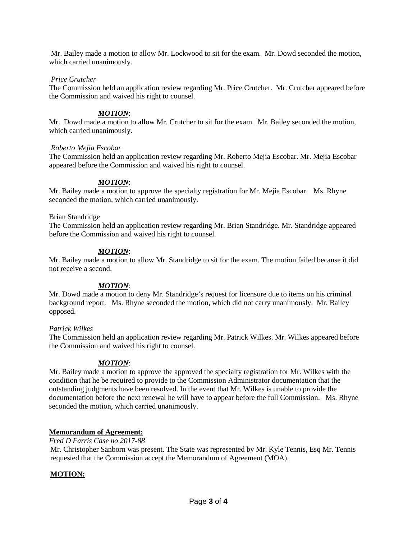Mr. Bailey made a motion to allow Mr. Lockwood to sit for the exam. Mr. Dowd seconded the motion, which carried unanimously.

## *Price Crutcher*

The Commission held an application review regarding Mr. Price Crutcher. Mr. Crutcher appeared before the Commission and waived his right to counsel.

# *MOTION*:

Mr. Dowd made a motion to allow Mr. Crutcher to sit for the exam. Mr. Bailey seconded the motion, which carried unanimously.

## *Roberto Mejia Escobar*

The Commission held an application review regarding Mr. Roberto Mejia Escobar. Mr. Mejia Escobar appeared before the Commission and waived his right to counsel.

# *MOTION*:

Mr. Bailey made a motion to approve the specialty registration for Mr. Mejia Escobar. Ms. Rhyne seconded the motion, which carried unanimously.

## Brian Standridge

The Commission held an application review regarding Mr. Brian Standridge. Mr. Standridge appeared before the Commission and waived his right to counsel.

## *MOTION*:

Mr. Bailey made a motion to allow Mr. Standridge to sit for the exam. The motion failed because it did not receive a second.

## *MOTION*:

Mr. Dowd made a motion to deny Mr. Standridge's request for licensure due to items on his criminal background report. Ms. Rhyne seconded the motion, which did not carry unanimously. Mr. Bailey opposed.

## *Patrick Wilkes*

The Commission held an application review regarding Mr. Patrick Wilkes. Mr. Wilkes appeared before the Commission and waived his right to counsel.

# *MOTION*:

Mr. Bailey made a motion to approve the approved the specialty registration for Mr. Wilkes with the condition that he be required to provide to the Commission Administrator documentation that the outstanding judgments have been resolved. In the event that Mr. Wilkes is unable to provide the documentation before the next renewal he will have to appear before the full Commission. Ms. Rhyne seconded the motion, which carried unanimously.

# **Memorandum of Agreement:**

## *Fred D Farris Case no 2017-88*

Mr. Christopher Sanborn was present. The State was represented by Mr. Kyle Tennis, Esq Mr. Tennis requested that the Commission accept the Memorandum of Agreement (MOA).

# **MOTION:**